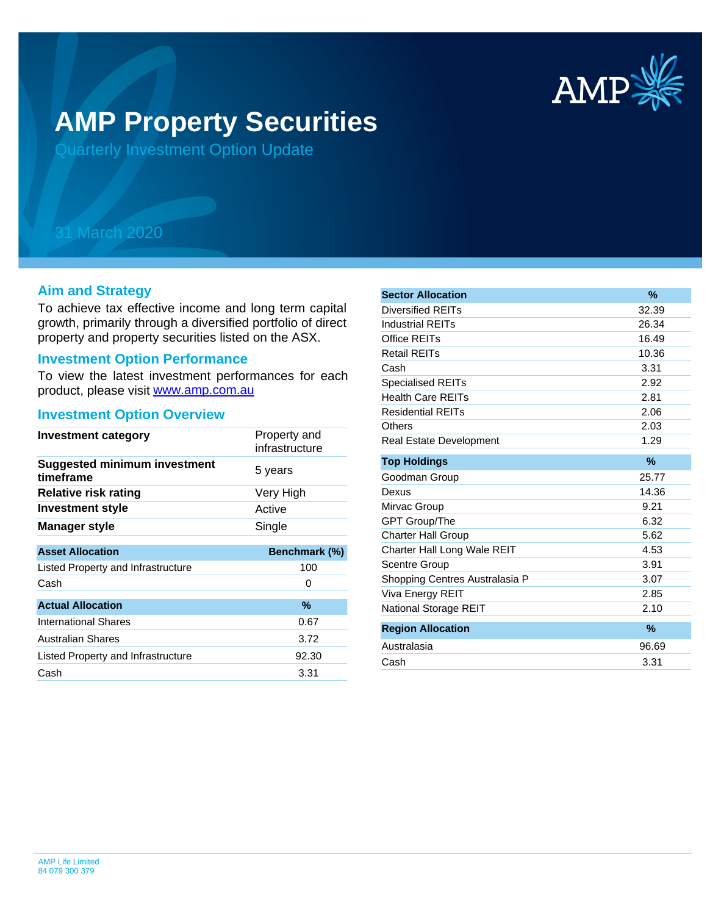

# **AMP Property Securities**

Quarterly Investment Option Update

## 31 March 2020

#### **Aim and Strategy**

To achieve tax effective income and long term capital growth, primarily through a diversified portfolio of direct property and property securities listed on the ASX.

#### **Investment Option Performance**

product, please visit [www.amp.com.au](https://www.amp.com.au) To view the latest investment performances for each

### **Investment Option Overview**

| <b>Investment category</b>                       | Property and<br>infrastructure |
|--------------------------------------------------|--------------------------------|
| <b>Suggested minimum investment</b><br>timeframe | 5 years                        |
| <b>Relative risk rating</b>                      | Very High                      |
| <b>Investment style</b>                          | Active                         |
| <b>Manager style</b>                             | Single                         |
|                                                  |                                |
| <b>Asset Allocation</b>                          | Benchmark (%)                  |
| Listed Property and Infrastructure               | 100                            |
| Cash                                             | 0                              |
| <b>Actual Allocation</b>                         | $\%$                           |
| <b>International Shares</b>                      | 0.67                           |
| <b>Australian Shares</b>                         | 3.72                           |
| Listed Property and Infrastructure               | 92.30                          |
| Cash                                             | 3.31                           |

| <b>Sector Allocation</b>       | $\%$          |
|--------------------------------|---------------|
| <b>Diversified REITs</b>       | 32.39         |
| <b>Industrial REITs</b>        | 26.34         |
| Office REITs                   | 16.49         |
| <b>Retail REITs</b>            | 10.36         |
| Cash                           | 3.31          |
| <b>Specialised REITs</b>       | 2.92          |
| <b>Health Care REITs</b>       | 2.81          |
| <b>Residential REITs</b>       | 2.06          |
| Others                         | 2.03          |
| Real Estate Development        | 1.29          |
| <b>Top Holdings</b>            | $\frac{9}{6}$ |
| Goodman Group                  | 25.77         |
| Dexus                          | 14.36         |
| Mirvac Group                   | 9.21          |
| <b>GPT Group/The</b>           | 6.32          |
| <b>Charter Hall Group</b>      | 5.62          |
| Charter Hall Long Wale REIT    | 4.53          |
| <b>Scentre Group</b>           | 3.91          |
| Shopping Centres Australasia P | 3.07          |
| Viva Energy REIT               | 2.85          |
| National Storage REIT          | 2.10          |
| <b>Region Allocation</b>       | $\%$          |
| Australasia                    | 96.69         |
| Cash                           | 3.31          |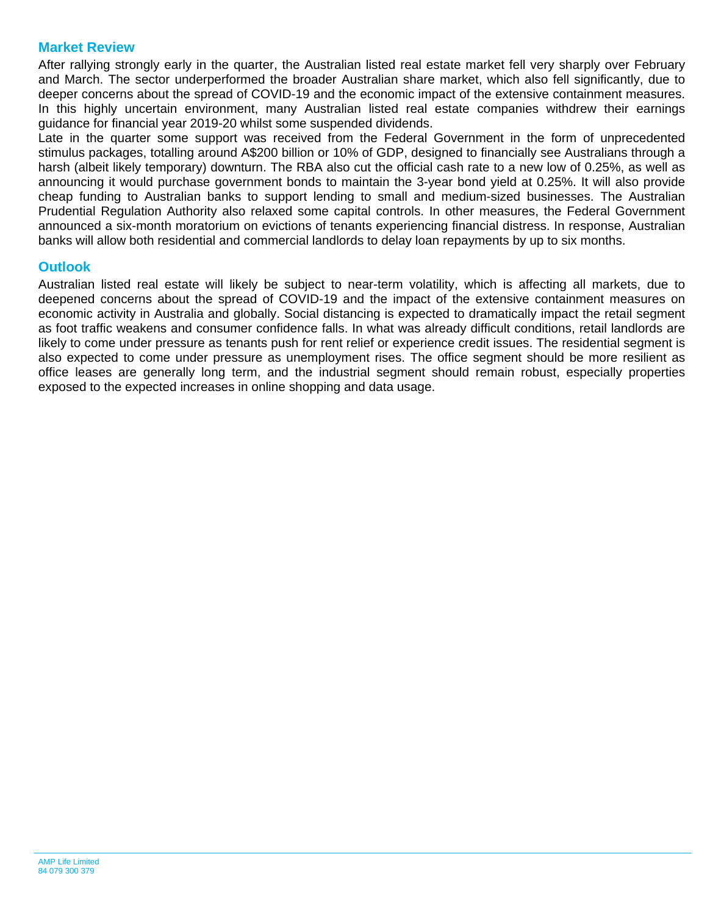#### **Market Review**

After rallying strongly early in the quarter, the Australian listed real estate market fell very sharply over February and March. The sector underperformed the broader Australian share market, which also fell significantly, due to deeper concerns about the spread of COVID-19 and the economic impact of the extensive containment measures. In this highly uncertain environment, many Australian listed real estate companies withdrew their earnings guidance for financial year 2019-20 whilst some suspended dividends.

Late in the quarter some support was received from the Federal Government in the form of unprecedented stimulus packages, totalling around A\$200 billion or 10% of GDP, designed to financially see Australians through a harsh (albeit likely temporary) downturn. The RBA also cut the official cash rate to a new low of 0.25%, as well as announcing it would purchase government bonds to maintain the 3-year bond yield at 0.25%. It will also provide cheap funding to Australian banks to support lending to small and medium-sized businesses. The Australian Prudential Regulation Authority also relaxed some capital controls. In other measures, the Federal Government announced a six-month moratorium on evictions of tenants experiencing financial distress. In response, Australian banks will allow both residential and commercial landlords to delay loan repayments by up to six months.

#### **Outlook**

Australian listed real estate will likely be subject to near-term volatility, which is affecting all markets, due to deepened concerns about the spread of COVID-19 and the impact of the extensive containment measures on economic activity in Australia and globally. Social distancing is expected to dramatically impact the retail segment as foot traffic weakens and consumer confidence falls. In what was already difficult conditions, retail landlords are likely to come under pressure as tenants push for rent relief or experience credit issues. The residential segment is also expected to come under pressure as unemployment rises. The office segment should be more resilient as office leases are generally long term, and the industrial segment should remain robust, especially properties exposed to the expected increases in online shopping and data usage.